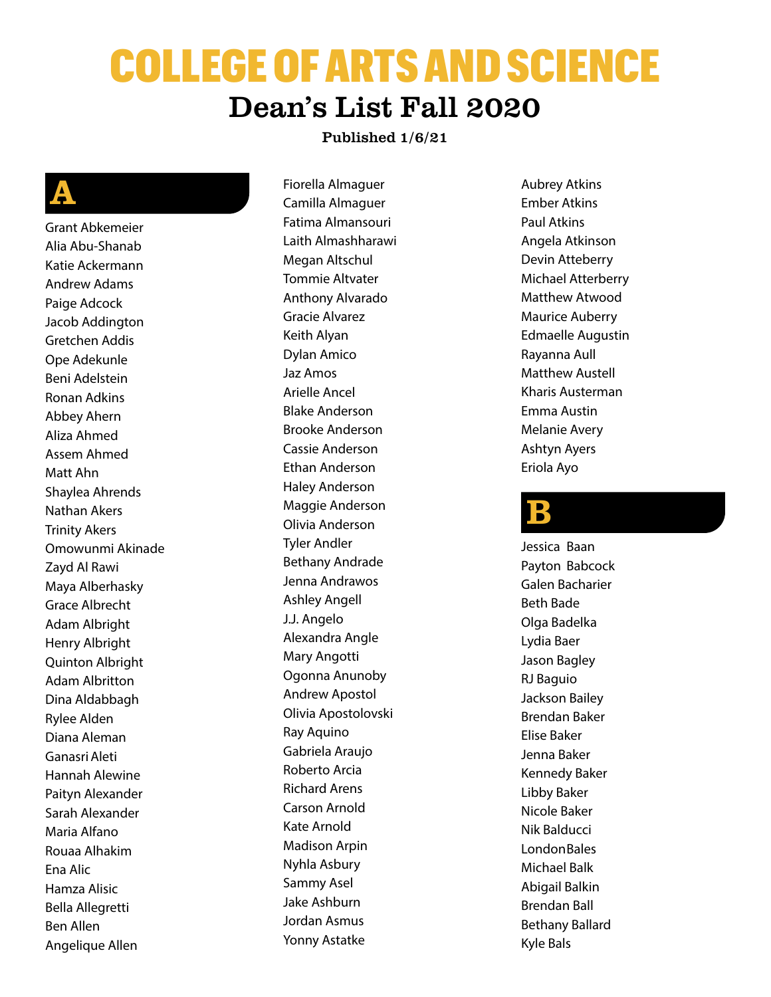# COLLEGE OF ARTS AND SCIENCE Dean's List Fall 2020

### Published 1/6/21

# A

Grant Abkemeier Alia Abu-Shanab Katie Ackermann Andrew Adams Paige Adcock Jacob Addington Gretchen Addis Ope Adekunle Beni Adelstein Ronan Adkins Abbey Ahern Aliza Ahmed Assem Ahmed Matt Ahn Shaylea Ahrends Nathan Akers Trinity Akers Omowunmi Akinade Zayd Al Rawi Maya Alberhasky Grace Albrecht Adam Albright Henry Albright Quinton Albright Adam Albritton Dina Aldabbagh Rylee Alden Diana Aleman GanasriAleti Hannah Alewine Paityn Alexander Sarah Alexander Maria Alfano Rouaa Alhakim Ena Alic Hamza Alisic Bella Allegretti Ben Allen Angelique Allen

Fiorella Almaguer Camilla Almaguer Fatima Almansouri Laith Almashharawi Megan Altschul Tommie Altvater Anthony Alvarado Gracie Alvarez Keith Alyan Dylan Amico Jaz Amos Arielle Ancel Blake Anderson Brooke Anderson Cassie Anderson Ethan Anderson Haley Anderson Maggie Anderson Olivia Anderson Tyler Andler Bethany Andrade Jenna Andrawos Ashley Angell J.J. Angelo Alexandra Angle Mary Angotti Ogonna Anunoby Andrew Apostol Olivia Apostolovski Ray Aquino Gabriela Araujo Roberto Arcia Richard Arens Carson Arnold Kate Arnold Madison Arpin Nyhla Asbury Sammy Asel Jake Ashburn Jordan Asmus Yonny Astatke

Aubrey Atkins Ember Atkins Paul Atkins Angela Atkinson Devin Atteberry Michael Atterberry Matthew Atwood Maurice Auberry Edmaelle Augustin Rayanna Aull Matthew Austell Kharis Austerman Emma Austin Melanie Avery Ashtyn Ayers Eriola Ayo

### $\mathbf B$

Jessica Baan Payton Babcock Galen Bacharier Beth Bade Olga Badelka Lydia Baer Jason Bagley RJ Baguio Jackson Bailey Brendan Baker Elise Baker Jenna Baker Kennedy Baker Libby Baker Nicole Baker Nik Balducci **LondonBales** Michael Balk Abigail Balkin Brendan Ball Bethany Ballard Kyle Bals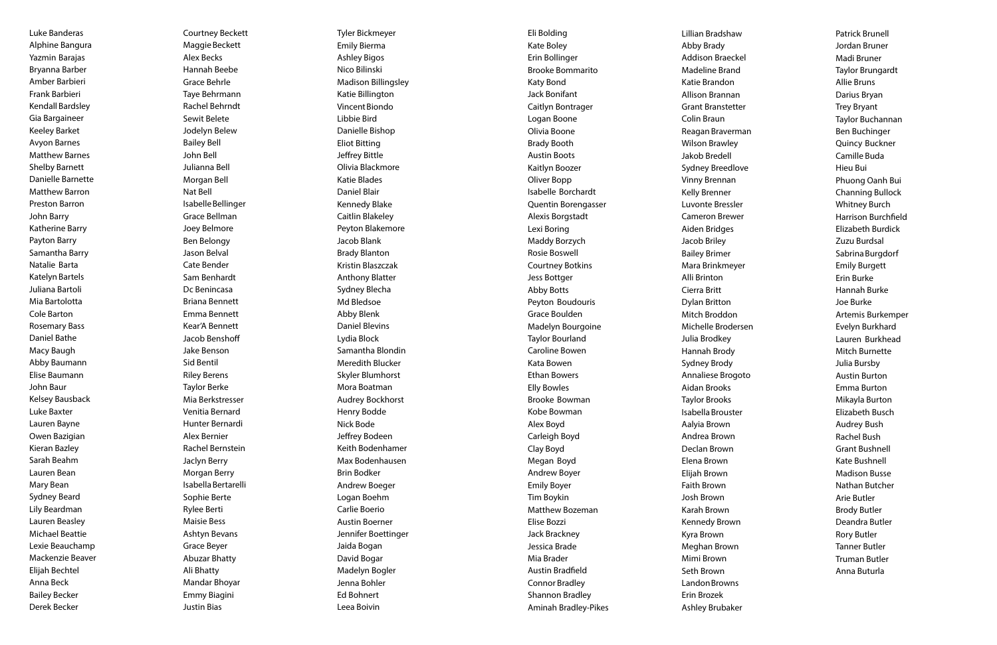Luke Banderas Alphine Bangura Yazmin Barajas Bryanna Barber Amber Barbieri Frank Barbieri Kendall Bardsley Gia Bargaineer Keeley Barket Avyon Barnes Matthew Barnes Shelby Barnett Danielle Barnette Matthew Barron Preston Barron John Barry Katherine Barry Payton Barry Samantha Barry Natalie Barta Katelyn Bartels Juliana Bartoli Mia Bartolotta Cole Barton Rosemary Bass Daniel Bathe Macy Baugh Abby Baumann Elise Baumann John Baur Kelsey Bausback Luke Baxter Lauren Bayne Owen Bazigian Kieran Bazley Sarah Beahm Lauren Bean Mary Bean Sydney Beard Lily Beardman Lauren Beasley Michael Beattie Lexie Beauchamp Mackenzie Beaver Elijah Bechtel Anna Beck Bailey Becker Derek Becker

Courtney Beckett Maggie Beckett Alex Becks Hannah Beebe Grace Behrle Taye Behrmann Rachel Behrndt Sewit Belete Jodelyn Belew Bailey Bell John Bell Julianna Bell Morgan Bell Nat Bell IsabelleBellinger Grace Bellman Joey Belmore Ben Belongy Jason Belval Cate Bender Sam Benhardt Dc Benincasa Briana Bennett Emma Bennett Kear'A Bennett Jacob Benshoff Jake Benson Sid Bentil Riley Berens Taylor Berke Mia Berkstresser Venitia Bernard Hunter Bernardi Alex Bernier Rachel Bernstein Jaclyn Berry Morgan Berry IsabellaBertarelli Sophie Berte Rylee Berti Maisie Bess Ashtyn Bevans Grace Beyer Abuzar Bhatty Ali Bhatty Mandar Bhoyar Emmy Biagini Justin Bias

Tyler Bickmeyer Emily Bierma Ashley Bigos Nico Bilinski Madison Billingsley Katie Billington Vincent Biondo Libbie Bird Danielle Bishop Eliot Bitting Jeffrey Bittle Olivia Blackmore Katie Blades Daniel Blair Kennedy Blake Caitlin Blakeley Peyton Blakemore Jacob Blank Brady Blanton Kristin Blaszczak Anthony Blatter Sydney Blecha Md Bledsoe Abby Blenk Daniel Blevins Lydia Block Samantha Blondin Meredith Blucker Skyler Blumhorst Mora Boatman Audrey Bockhorst Henry Bodde Nick Bode Jeffrey Bodeen Keith Bodenhamer Max Bodenhausen Brin Bodker Andrew Boeger Logan Boehm Carlie Boerio Austin Boerner Jennifer Boettinger Jaida Bogan David Bogar Madelyn Bogler Jenna Bohler Ed Bohnert Leea Boivin

Eli Bolding Kate Boley Erin Bollinger Brooke Bommarito Katy Bond Jack Bonifant Caitlyn Bontrager Logan Boone Olivia Boone Brady Booth Austin Boots Kaitlyn Boozer Oliver Bopp Isabelle Borchardt Quentin Borengasser Alexis Borgstadt Lexi Boring Maddy Borzych Rosie Boswell Courtney Botkins Jess Bottger Abby Botts Peyton Boudouris Grace Boulden Madelyn Bourgoine Taylor Bourland Caroline Bowen Kata Bowen Ethan Bowers Elly Bowles Brooke Bowman Kobe Bowman Alex Boyd Carleigh Boyd Clay Boyd Megan Boyd Andrew Boyer Emily Boyer Tim Boykin Matthew Bozeman Elise Bozzi Jack Brackney Jessica Brade Mia Brader Austin Bradfield Connor Bradley Shannon Bradley Aminah Bradley-Pikes Lillian Bradshaw Abby Brady **Addison Braec** Madeline Bran Katie Brandon **Allison Branna Grant Branstet** Colin Braun Reagan Braver Wilson Brawley Jakob Bredell Sydney Breed Vinny Brennan Kelly Brenner Luvonte Bress **Cameron Brev** Aiden Bridges Jacob Briley Bailey Brimer Mara Brinkmey Alli Brinton Cierra Britt Dylan Britton Mitch Broddon Michelle Brode Julia Brodkey Hannah Brody Sydney Brody Annaliese Brog Aidan Brooks Taylor Brooks Isabella Broust Aalyia Brown Andrea Brown Declan Brown Elena Brown Elijah Brown Faith Brown Josh Brown Karah Brown **Kennedy Brow** Kyra Brown **Meghan Brow** Mimi Brown Seth Brown Landon Browns Erin Brozek Ashley Brubaker

| ЭW    | <b>Patrick Brunell</b>     |
|-------|----------------------------|
|       | Jordan Bruner              |
| ckel  | Madi Bruner                |
| ١d    | Taylor Brungardt           |
| ١     | <b>Allie Bruns</b>         |
| an    | Darius Bryan               |
| tter  | <b>Trey Bryant</b>         |
|       | Taylor Buchannan           |
| rman  | Ben Buchinger              |
| .У    | Quincy Buckner             |
|       | Camille Buda               |
| love  | Hieu Bui                   |
| ገ     | Phuong Oanh Bui            |
|       | <b>Channing Bullock</b>    |
| ler   | <b>Whitney Burch</b>       |
| ver   | <b>Harrison Burchfield</b> |
|       | Elizabeth Burdick          |
|       | Zuzu Burdsal               |
|       | Sabrina Burgdorf           |
| yer   | <b>Emily Burgett</b>       |
|       | Erin Burke                 |
|       | Hannah Burke               |
|       | Joe Burke                  |
| n     | Artemis Burkemper          |
| ersen | Evelyn Burkhard            |
|       | Lauren Burkhead            |
| I     | <b>Mitch Burnette</b>      |
|       | Julia Bursby               |
| goto  | <b>Austin Burton</b>       |
|       | <b>Emma Burton</b>         |
|       | Mikayla Burton             |
| ter   | <b>Elizabeth Busch</b>     |
|       | <b>Audrey Bush</b>         |
| ١     | <b>Rachel Bush</b>         |
|       | <b>Grant Bushnell</b>      |
|       | Kate Bushnell              |
|       | <b>Madison Busse</b>       |
|       | Nathan Butcher             |
|       | <b>Arie Butler</b>         |
|       | <b>Brody Butler</b>        |
| vn    | Deandra Butler             |
|       | <b>Rory Butler</b>         |
| 'n    | <b>Tanner Butler</b>       |
|       | <b>Truman Butler</b>       |
|       | Anna Buturla               |
| ٦C    |                            |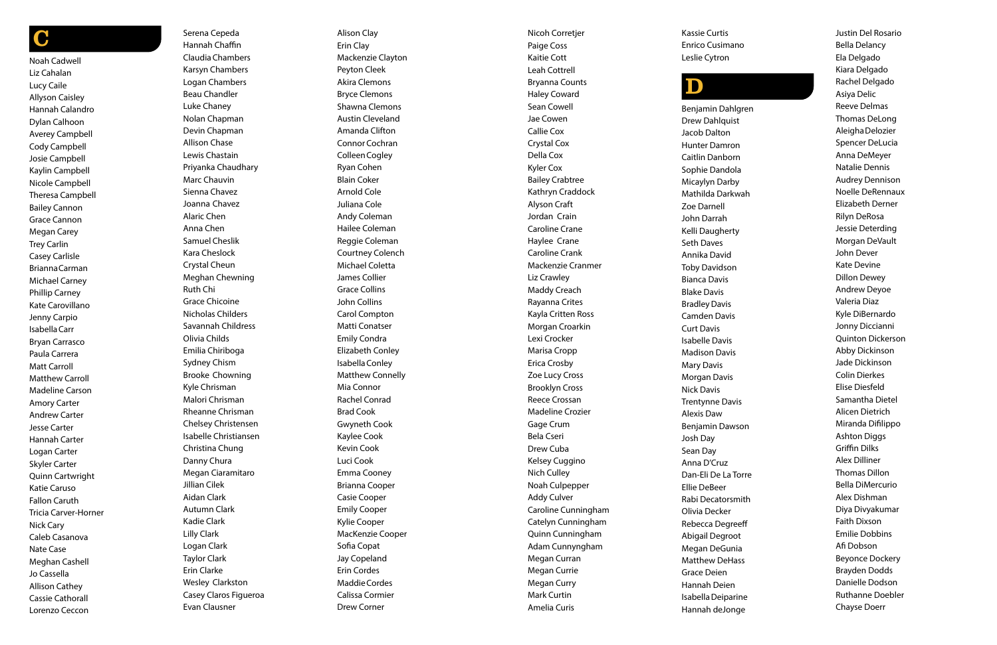### C

Noah Cadwell Liz Cahalan Lucy Caile Allyson Caisley Hannah Calandro Dylan Calhoon Averey Campbell Cody Campbell Josie Campbell Kaylin Campbell Nicole Campbell Theresa Campbell Bailey Cannon Grace Cannon Megan Carey Trey Carlin Casey Carlisle BriannaCarman Michael Carney Phillip Carney Kate Carovillano Jenny Carpio IsabellaCarr Bryan Carrasco Paula Carrera Matt Carroll Matthew Carroll Madeline Carson Amory Carter Andrew Carter Jesse Carter Hannah Carter Logan Carter Skyler Carter Quinn Cartwright Katie Caruso Fallon Caruth Tricia Carver-Horner Nick Cary Caleb Casanova Nate Case Meghan Cashell Jo Cassella Allison Cathey Cassie Cathorall Lorenzo Ceccon

Serena Cepeda Hannah Chaffin ClaudiaChambers Karsyn Chambers Logan Chambers Beau Chandler Luke Chaney Nolan Chapman Devin Chapman Allison Chase Lewis Chastain Priyanka Chaudhary Marc Chauvin Sienna Chavez Joanna Chavez Alaric Chen Anna Chen Samuel Cheslik Kara Cheslock Crystal Cheun Meghan Chewning Ruth Chi Grace Chicoine Nicholas Childers Savannah Childress Olivia Childs Emilia Chiriboga Sydney Chism Brooke Chowning Kyle Chrisman Malori Chrisman Rheanne Chrisman Chelsey Christensen Isabelle Christiansen Christina Chung Danny Chura Megan Ciaramitaro Jillian Cilek Aidan Clark Autumn Clark Kadie Clark Lilly Clark Logan Clark Taylor Clark Erin Clarke Wesley Clarkston Casey Claros Figueroa Evan Clausner

Alison Clay Erin Clay Mackenzie Clayton Peyton Cleek Akira Clemons Bryce Clemons Shawna Clemons Austin Cleveland Amanda Clifton Connor Cochran ColleenCogley Ryan Cohen Blain Coker Arnold Cole Juliana Cole Andy Coleman Hailee Coleman Reggie Coleman Courtney Colench Michael Coletta James Collier Grace Collins John Collins Carol Compton Matti Conatser Emily Condra Elizabeth Conley IsabellaConley Matthew Connelly Mia Connor Rachel Conrad Brad Cook Gwyneth Cook Kaylee Cook Kevin Cook Luci Cook Emma Cooney Brianna Cooper Casie Cooper Emily Cooper Kylie Cooper MacKenzie Cooper Sofia Copat Jay Copeland Erin Cordes MaddieCordes Calissa Cormier Drew Corner

Nicoh Corretjer Paige Coss Kaitie Cott Leah Cottrell Bryanna Counts Haley Coward Sean Cowell Jae Cowen Callie Cox Crystal Cox Della Cox Kyler Cox Bailey Crabtree Kathryn Craddock Alyson Craft Jordan Crain Caroline Crane Haylee Crane Caroline Crank Mackenzie Cranmer Liz Crawley Maddy Creach Rayanna Crites Kayla Critten Ross Morgan Croarkin Lexi Crocker Marisa Cropp Erica Crosby Zoe Lucy Cross Brooklyn Cross Reece Crossan Madeline Crozier Gage Crum Bela Cseri Drew Cuba Kelsey Cuggino Nich Culley Noah Culpepper Addy Culver Caroline Cunningham Catelyn Cunningham Quinn Cunningham Adam Cunnyngham Megan Curran Megan Currie Megan Curry Mark Curtin Amelia Curis

Kassie Curtis Enrico Cusimano Leslie Cytron

# $\mathbf D$

Benjamin Dahlgren Drew Dahlquist Jacob Dalton Hunter Damron Caitlin Danborn Sophie Dandola Micaylyn Darby Mathilda Darkwah Zoe Darnell John Darrah Kelli Daugherty Seth Daves Annika David Toby Davidson Bianca Davis Blake Davis BradleyDavis Camden Davis Curt Davis Isabelle Davis Madison Davis Mary Davis Morgan Davis Nick Davis Trentynne Davis Alexis Daw Benjamin Dawson Josh Day Sean Day Anna D'Cruz Dan-Eli De La Torre Ellie DeBeer Rabi Decatorsmith Olivia Decker Rebecca Degreeff Abigail Degroot Megan DeGunia Matthew DeHass Grace Deien Hannah Deien IsabellaDeiparine Hannah deJonge

Justin Del Rosario Bella Delancy Ela Delgado Kiara Delgado Rachel Delgado Asiya Delic Reeve Delmas Thomas DeLong AleighaDelozier Spencer DeLucia Anna DeMeyer Natalie Dennis Audrey Dennison Noelle DeRennaux Elizabeth Derner Rilyn DeRosa Jessie Deterding Morgan DeVault John Dever Kate Devine Dillon Dewey Andrew Deyoe Valeria Diaz Kyle DiBernardo Jonny Diccianni Quinton Dickerson Abby Dickinson Jade Dickinson Colin Dierkes Elise Diesfeld Samantha Dietel Alicen Dietrich Miranda Difilippo Ashton Diggs Griffin Dilks Alex Dilliner Thomas Dillon Bella DiMercurio Alex Dishman Diya Divyakumar Faith Dixson Emilie Dobbins Afi Dobson Beyonce Dockery Brayden Dodds Danielle Dodson Ruthanne Doebler Chayse Doerr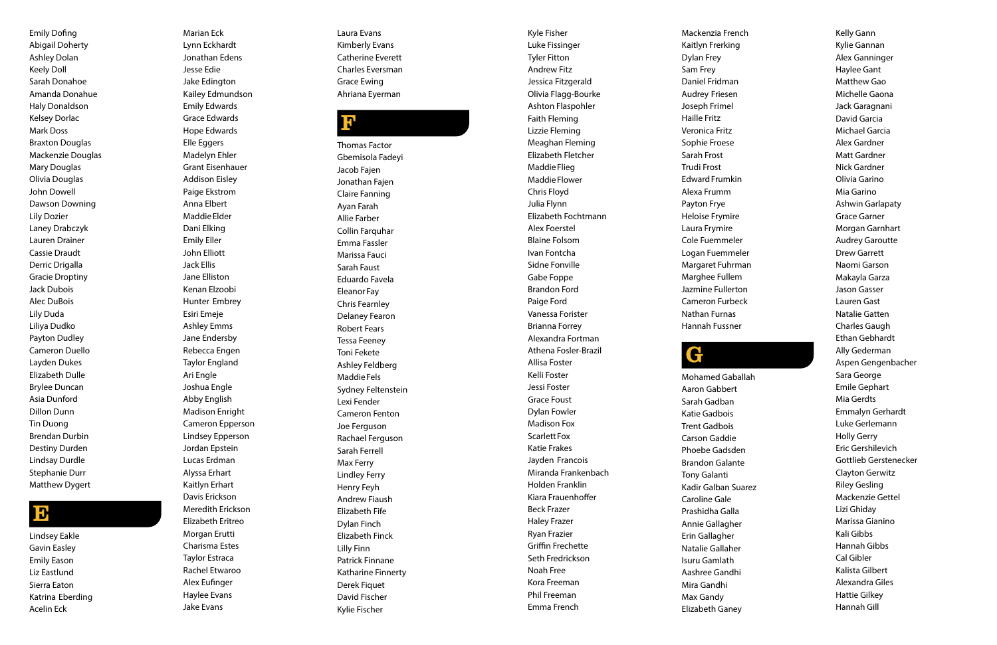Emily Dofing Abigail Doherty Ashley Dolan Keely Doll Sarah Donahoe Amanda Donahue Haly Donaldson Kelsey Dorlac Mark Doss Braxton Douglas Mackenzie Douglas Mary Douglas Olivia Douglas John Dowell Dawson Downing Lily Dozier Laney Drabczyk Lauren Drainer Cassie Draudt Derric Drigalla Gracie Droptiny Jack Dubois Alec DuBois Lily Duda Liliya Dudko Payton Dudley Cameron Duello Layden Dukes Elizabeth Dulle Brylee Duncan Asia Dunford Dillon Dunn Tin Duong Brendan Durbin Destiny Durden Lindsay Durdle Stephanie Durr Matthew Dygert

### E

Lindsey Eakle Gavin Easley Emily Eason Liz Eastlund Sierra Eaton Katrina Eberding Acelin Eck

Marian Eck Lynn Eckhardt Jonathan Edens Jesse Edie Jake Edington Kailey Edmundson Emily Edwards Grace Edwards Hope Edwards Elle Eggers Madelyn Ehler Grant Eisenhauer Addison Eisley Paige Ekstrom Anna Elbert MaddieElder Dani Elking Emily Eller John Elliott Jack Ellis Jane Elliston Kenan Elzoobi Hunter Embrey Esiri Emeje Ashley Emms Jane Endersby Rebecca Engen Taylor England Ari Engle Joshua Engle Abby English Madison Enright Cameron Epperson Lindsey Epperson Jordan Epstein Lucas Erdman Alyssa Erhart Kaitlyn Erhart Davis Erickson Meredith Erickson Elizabeth Eritreo Morgan Erutti Charisma Estes Taylor Estraca Rachel Etwaroo Alex Eufinger

Haylee Evans Jake Evans

Laura Evans Kimberly Evans Catherine Everett Charles Eversman Grace Ewing Ahriana Eyerman

### ינ<sup>י</sup>

Thomas Factor Gbemisola Fadeyi Jacob Fajen Jonathan Fajen Claire Fanning Ayan Farah Allie Farber Collin Farquhar Emma Fassler Marissa Fauci Sarah Faust Eduardo Favela Eleanor Fay Chris Fearnley Delaney Fearon Robert Fears Tessa Feeney Toni Fekete Ashley Feldberg MaddieFels Sydney Feltenstein Lexi Fender Cameron Fenton Joe Ferguson Rachael Ferguson Sarah Ferrell Max Ferry Lindley Ferry Henry Feyh Andrew Fiaush Elizabeth Fife Dylan Finch Elizabeth Finck Lilly Finn Patrick Finnane Katharine Finnerty Derek Fiquet David Fischer Kylie Fischer

Kyle Fisher Luke Fissinger Tyler Fitton Andrew Fitz Jessica Fitzgerald Olivia Flagg-Bourke Ashton Flaspohler Faith Fleming Lizzie Fleming Meaghan Fleming Elizabeth Fletcher Maddie Flieg Maddie Flower Chris Floyd Julia Flynn Elizabeth Fochtmann Alex Foerstel Blaine Folsom Ivan Fontcha Sidne Fonville Gabe Foppe Brandon Ford Paige Ford Vanessa Forister Brianna Forrey Alexandra Fortman Athena Fosler-Brazil Allisa Foster Kelli Foster Jessi Foster Grace Foust Dylan Fowler Madison Fox Scarlett Fox Katie Frakes Jayden Francois Miranda Frankenbach Holden Franklin Kiara Frauenhoffer Beck Frazer Haley Frazer Ryan Frazier Griffin Frechette Seth Fredrickson Noah Free Kora Freeman Phil Freeman Emma French

Mackenzia French Kaitlyn Frerking Dylan Frey Sam Frey Daniel Fridman Audrey Friesen Joseph Frimel Haille Fritz Veronica Fritz Sophie Froese Sarah Frost Trudi Frost **Edward Frumkin** Alexa Frumm Payton Frye Heloise Frymire Laura Frymire Cole Fuemmeler Logan Fuemmeler Margaret Fuhrman Marghee Fullem Jazmine Fullerton Cameron Furbeck Nathan Furnas Hannah Fussner G Mohamed Gaballah Aaron Gabbert Sarah Gadban

Katie Gadbois Trent Gadbois Carson Gaddie Phoebe Gadsden Brandon Galante Tony Galanti Kadir Galban Suarez Caroline Gale Prashidha Galla Annie Gallagher Erin Gallagher Natalie Gallaher Isuru Gamlath Aashree Gandhi Mira Gandhi Max Gandy Elizabeth Ganey

Kelly Gann Kylie Gannan Alex Ganninger Haylee Gant Matthew Gao Michelle Gaona Jack Garagnani David Garcia Michael Garcia Alex Gardner Matt Gardner Nick Gardner Olivia Garino Mia Garino Ashwin Garlapaty Grace Garner Morgan Garnhart Audrey Garoutte Drew Garrett Naomi Garson Makayla Garza Jason Gasser Lauren Gast Natalie Gatten Charles Gaugh Ethan Gebhardt Ally Gederman Aspen Gengenbacher Sara George Emile Gephart Mia Gerdts Emmalyn Gerhardt Luke Gerlemann Holly Gerry Eric Gershilevich Gottlieb Gerstenecker Clayton Gerwitz Riley Gesling Mackenzie Gettel Lizi Ghiday Marissa Gianino Kali Gibbs Hannah Gibbs Cal Gibler Kalista Gilbert Alexandra Giles Hattie Gilkey

Hannah Gill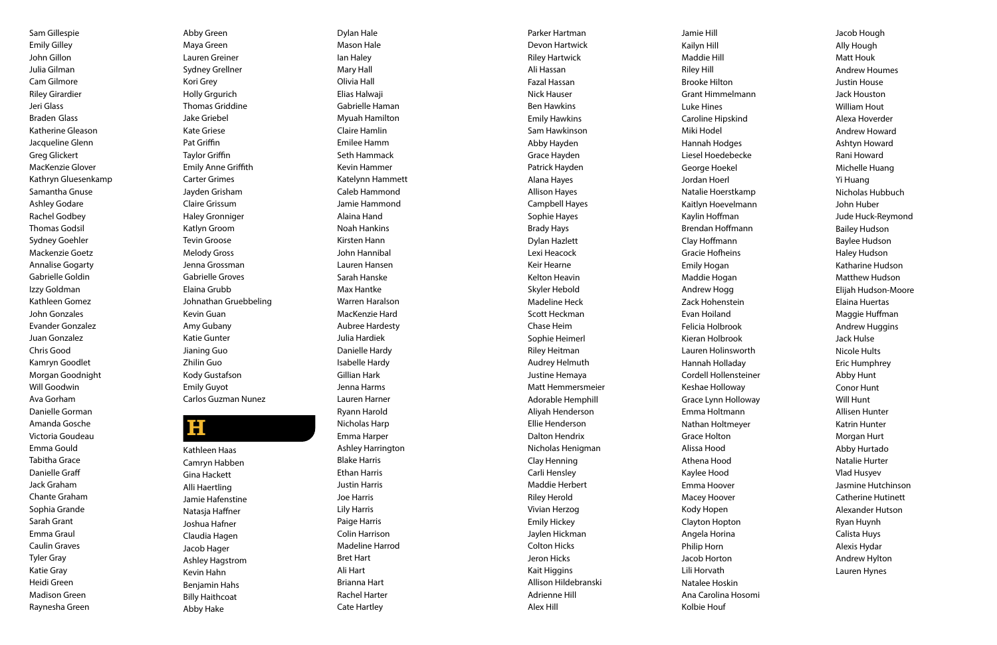Sam Gillespie Emily Gilley John Gillon Julia Gilman Cam Gilmore Riley Girardier Jeri Glass Braden Glass Katherine Gleason Jacqueline Glenn Greg Glickert MacKenzie Glover Kathryn Gluesenkamp Samantha Gnuse Ashley Godare Rachel Godbey Thomas Godsil Sydney Goehler Mackenzie Goetz Annalise Gogarty Gabrielle Goldin Izzy Goldman Kathleen Gomez John Gonzales Evander Gonzalez Juan Gonzalez Chris Good Kamryn Goodlet Morgan Goodnight Will Goodwin Ava Gorham Danielle Gorman Amanda Gosche Victoria Goudeau Emma Gould Tabitha Grace Danielle Graff Jack Graham Chante Graham Sophia Grande Sarah Grant Emma Graul Caulin Graves Tyler Gray Katie Gray Heidi Green Madison Green Raynesha Green

Abby Green Maya Green Lauren Greiner Sydney Grellner Kori Grey Holly Grgurich Thomas Griddine Jake Griebel Kate Griese Pat Griffin Taylor Griffin Emily Anne Griffith Carter Grimes Jayden Grisham Claire Grissum Haley Gronniger Katlyn Groom Tevin Groose Melody Gross Jenna Grossman Gabrielle Groves Elaina Grubb Johnathan Gruebbeling Kevin Guan Amy Gubany Katie Gunter Jianing Guo Zhilin Guo Kody Gustafson Emily Guyot Carlos Guzman Nunez

### H

Kathleen Haas Camryn Habben Gina Hackett Alli Haertling Jamie Hafenstine Natasja Haffner Joshua Hafner Claudia Hagen Jacob Hager Ashley Hagstrom Kevin Hahn Benjamin Hahs Billy Haithcoat Abby Hake

Dylan Hale Mason Hale Ian Haley Mary Hall Olivia Hall Elias Halwaji Gabrielle Haman Myuah Hamilton Claire Hamlin Emilee Hamm Seth Hammack Kevin Hammer Katelynn Hammett Caleb Hammond Jamie Hammond Alaina Hand Noah Hankins Kirsten Hann John Hannibal Lauren Hansen Sarah Hanske Max Hantke Warren Haralson MacKenzie Hard Aubree Hardesty Julia Hardiek Danielle Hardy Isabelle Hardy Gillian Hark Jenna Harms Lauren Harner Ryann Harold Nicholas Harp Emma Harper Ashley Harrington Blake Harris Ethan Harris Justin Harris Joe Harris Lily Harris Paige Harris Colin Harrison Madeline Harrod Bret Hart Ali Hart Brianna Hart Rachel Harter Cate Hartley

Parker Hartman Devon Hartwick Riley Hartwick Ali Hassan Fazal Hassan Nick Hauser Ben Hawkins Emily Hawkins Sam Hawkinson Abby Hayden Grace Hayden Patrick Hayden Alana Hayes Allison Hayes Campbell Hayes Sophie Hayes Brady Hays Dylan Hazlett Lexi Heacock Keir Hearne Kelton Heavin Skyler Hebold Madeline Heck Scott Heckman Chase Heim Sophie Heimerl Riley Heitman Audrey Helmuth Justine Hemaya Matt Hemmersmeier Adorable Hemphill Aliyah Henderson Ellie Henderson Dalton Hendrix Nicholas Henigman Clay Henning Carli Hensley Maddie Herbert Riley Herold Vivian Herzog Emily Hickey Jaylen Hickman Colton Hicks Jeron Hicks Kait Higgins Allison Hildebranski Adrienne Hill Alex Hill

Jamie Hill Kailyn Hill Maddie Hill Riley Hill Brooke Hilton Grant Himmelmann Luke Hines Caroline Hipskind Miki Hodel Hannah Hodges Liesel Hoedebecke George Hoekel Jordan Hoerl Natalie Hoerstkamp Kaitlyn Hoevelmann Kaylin Hoffman Brendan Hoffmann Clay Hoffmann Gracie Hofheins Emily Hogan Maddie Hogan Andrew Hogg Zack Hohenstein Evan Hoiland Felicia Holbrook Kieran Holbrook Lauren Holinsworth Hannah Holladay Cordell Hollensteiner Keshae Holloway Grace Lynn Holloway Emma Holtmann Nathan Holtmeyer Grace Holton Alissa Hood Athena Hood Kaylee Hood Emma Hoover Macey Hoover Kody Hopen Clayton Hopton Angela Horina Philip Horn Jacob Horton Lili Horvath Natalee Hoskin Ana Carolina Hosomi Kolbie Houf

Jacob Hough Ally Hough Matt Houk Andrew Houmes Justin House Jack Houston William Hout Alexa Hoverder Andrew Howard Ashtyn Howard Rani Howard Michelle Huang Yi Huang Nicholas Hubbuch John Huber Jude Huck-Reymond Bailey Hudson Baylee Hudson Haley Hudson Katharine Hudson Matthew Hudson Elijah Hudson-Moore Elaina Huertas Maggie Huffman Andrew Huggins Jack Hulse Nicole Hults Eric Humphrey Abby Hunt Conor Hunt Will Hunt Allisen Hunter Katrin Hunter Morgan Hurt Abby Hurtado Natalie Hurter Vlad Husyev Jasmine Hutchinson Catherine Hutinett Alexander Hutson Ryan Huynh Calista Huys Alexis Hydar Andrew Hylton

Lauren Hynes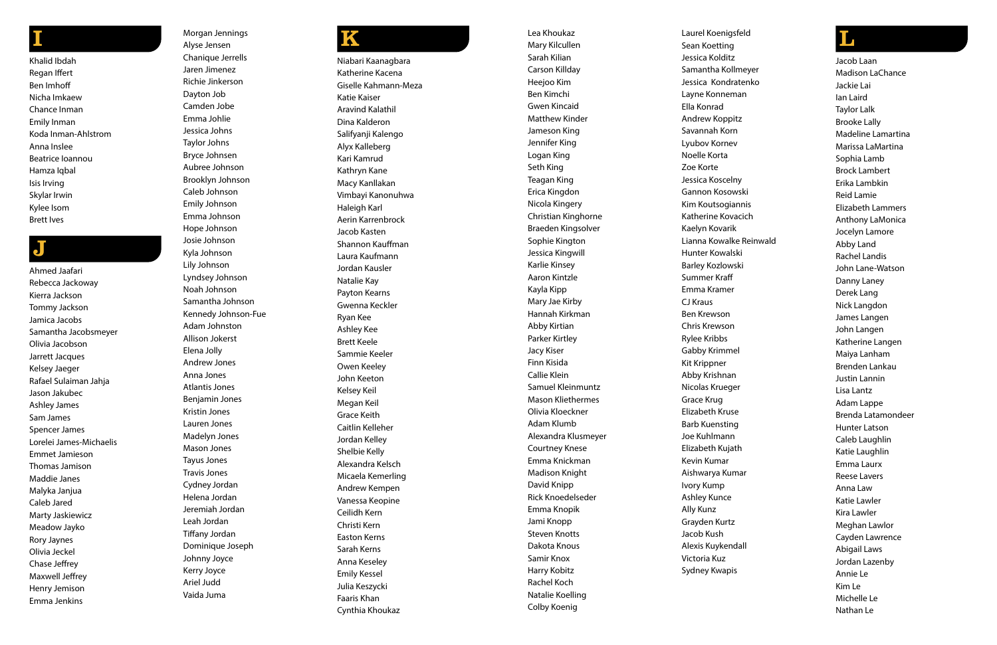# I

Khalid Ibdah Regan Iffert Ben Imhoff Nicha Imkaew Chance Inman Emily Inman Koda Inman-Ahlstrom Anna Inslee Beatrice Ioannou Hamza Iqbal Isis Irving Skylar Irwin Kylee Isom Brett Ives

## J

Ahmed Jaafari Rebecca Jackoway Kierra Jackson Tommy Jackson Jamica Jacobs Samantha Jacobsmeyer Olivia Jacobson Jarrett Jacques Kelsey Jaeger Rafael Sulaiman Jahja Jason Jakubec Ashley James Sam James Spencer James Lorelei James-Michaelis Emmet Jamieson Thomas Jamison Maddie Janes Malyka Janjua Caleb Jared Marty Jaskiewicz Meadow Jayko Rory Jaynes Olivia Jeckel Chase Jeffrey Maxwell Jeffrey Henry Jemison Emma Jenkins

Morgan Jennings Alyse Jensen Chanique Jerrells Jaren Jimenez Richie Jinkerson Dayton Job Camden Jobe Emma Johlie Jessica Johns Taylor Johns Bryce Johnsen Aubree Johnson Brooklyn Johnson Caleb Johnson Emily Johnson Emma Johnson Hope Johnson

Josie Johnson Kyla Johnson Lily Johnson Lyndsey Johnson Noah Johnson Samantha Johnson Kennedy Johnson-Fue Adam Johnston Allison Jokerst Elena Jolly Andrew Jones Anna Jones Atlantis Jones Benjamin Jones Kristin Jones Lauren Jones Madelyn Jones Mason Jones Tayus Jones Travis Jones Cydney Jordan Helena Jordan Jeremiah Jordan Leah Jordan Tiffany Jordan Dominique Joseph Johnny Joyce Kerry Joyce Ariel Judd Vaida Juma

# K

Niabari Kaanagbara Katherine Kacena Giselle Kahmann-Meza Katie Kaiser Aravind Kalathil Dina Kalderon Salifyanji Kalengo Alyx Kalleberg Kari Kamrud Kathryn Kane Macy Kanllakan Vimbayi Kanonuhwa Haleigh Karl Aerin Karrenbrock Jacob Kasten Shannon Kauffman Laura Kaufmann Jordan Kausler Natalie Kay Payton Kearns Gwenna Keckler Ryan Kee Ashley Kee Brett Keele Sammie Keeler Owen Keeley John Keeton Kelsey Keil Megan Keil Grace Keith Caitlin Kelleher Jordan Kelley Shelbie Kelly Alexandra Kelsch Micaela Kemerling Andrew Kempen Vanessa Keopine Ceilidh Kern Christi Kern Easton Kerns Sarah Kerns Anna Keseley Emily Kessel Julia Keszycki Faaris Khan Cynthia Khoukaz

Lea Khoukaz Mary Kilcullen Sarah Kilian Carson Killday Heejoo Kim Ben Kimchi Gwen Kincaid Matthew Kinder Jameson King Jennifer King Logan King Seth King Teagan King Erica Kingdon Nicola Kingery Christian Kinghorne Braeden Kingsolver Sophie Kington Jessica Kingwill Karlie Kinsey Aaron Kintzle Kayla Kipp Mary Jae Kirby Hannah Kirkman Abby Kirtian Parker Kirtley Jacy Kiser Finn Kisida Callie Klein Samuel Kleinmuntz Mason Kliethermes Olivia Kloeckner Adam Klumb Alexandra Klusmeyer Courtney Knese Emma Knickman Madison Knight David Knipp Rick Knoedelseder Emma Knopik Jami Knopp Steven Knotts Dakota Knous Samir Knox Harry Kobitz Rachel Koch Natalie Koelling Colby Koenig

Laurel Koenigsfeld Sean Koetting Jessica Kolditz Samantha Kollmeyer Jessica Kondratenko Layne Konneman Ella Konrad Andrew Koppitz Savannah Korn Lyubov Kornev Noelle Korta Zoe Korte Jessica Koscelny Gannon Kosowski Kim Koutsogiannis Katherine Kovacich Kaelyn Kovarik Lianna Kowalke Reinwald Hunter Kowalski Barley Kozlowski Summer Kraff Emma Kramer CJ Kraus Ben Krewson Chris Krewson Rylee Kribbs Gabby Krimmel Kit Krippner Abby Krishnan Nicolas Krueger Grace Krug Elizabeth Kruse Barb Kuensting Joe Kuhlmann Elizabeth Kujath Kevin Kumar Aishwarya Kumar Ivory Kump Ashley Kunce Ally Kunz Grayden Kurtz Jacob Kush Alexis Kuykendall Victoria Kuz Sydney Kwapis

### L

Jacob Laan Madison LaChance Jackie Lai Ian Laird Taylor Lalk Brooke Lally Madeline Lamartina Marissa LaMartina Sophia Lamb Brock Lambert Erika Lambkin Reid Lamie Elizabeth Lammers Anthony LaMonica Jocelyn Lamore Abby Land Rachel Landis John Lane-Watson Danny Laney Derek Lang Nick Langdon James Langen John Langen Katherine Langen Maiya Lanham Brenden Lankau Justin Lannin Lisa Lantz Adam Lappe Brenda Latamondeer Hunter Latson Caleb Laughlin Katie Laughlin Emma Laurx Reese Lavers Anna Law Katie Lawler Kira Lawler Meghan Lawlor Cayden Lawrence Abigail Laws Jordan Lazenby Annie Le Kim Le Michelle Le Nathan Le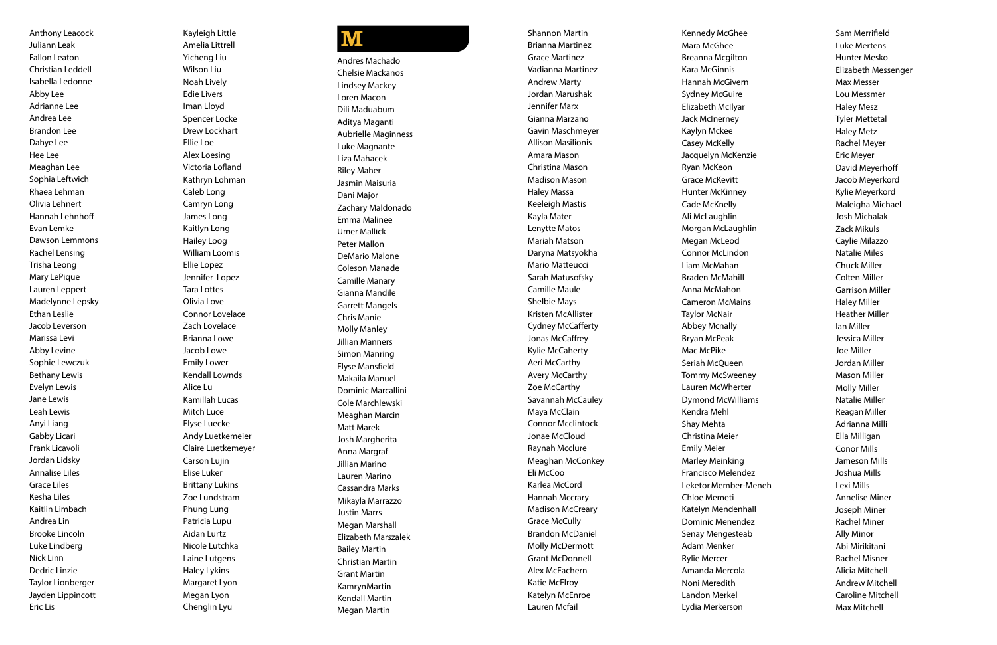Anthony Leacock Juliann Leak Fallon Leaton Christian Leddell Isabella Ledonne Abby Lee Adrianne Lee Andrea Lee Brandon Lee Dahye Lee Hee Lee Meaghan Lee Sophia Leftwich Rhaea Lehman Olivia Lehnert Hannah Lehnhoff Evan Lemke Dawson Lemmons Rachel Lensing Trisha Leong Mary LePique Lauren Leppert Madelynne Lepsky Ethan Leslie Jacob Leverson Marissa Levi Abby Levine Sophie Lewczuk Bethany Lewis Evelyn Lewis Jane Lewis Leah Lewis Anyi Liang Gabby Licari Frank Licavoli Jordan Lidsky Annalise Liles Grace Liles Kesha Liles Kaitlin Limbach Andrea Lin Brooke Lincoln Luke Lindberg Nick Linn Dedric Linzie Taylor Lionberger Jayden Lippincott Eric Lis

Kayleigh Little Amelia Littrell Yicheng Liu Wilson Liu Noah Lively Edie Livers Iman Lloyd Spencer Locke Drew Lockhart Ellie Loe Alex Loesing Victoria Lofland Kathryn Lohman Caleb Long Camryn Long James Long Kaitlyn Long Hailey Loog William Loomis Ellie Lopez Jennifer Lopez Tara Lottes Olivia Love Connor Lovelace Zach Lovelace Brianna Lowe Jacob Lowe Emily Lower Kendall Lownds Alice Lu Kamillah Lucas Mitch Luce Elyse Luecke Andy Luetkemeier Claire Luetkemeyer Carson Lujin Elise Luker Brittany Lukins Zoe Lundstram Phung Lung Patricia Lupu Aidan Lurtz Nicole Lutchka Laine Lutgens Haley Lykins Margaret Lyon Megan Lyon Chenglin Lyu

### **M**

Andres Machado Chelsie Mackanos Lindsey Mackey Loren Macon Dili Maduabum Aditya Maganti Aubrielle Maginness Luke Magnante Liza Mahacek Riley Maher Jasmin Maisuria Dani Major Zachary Maldonado Emma Malinee Umer Mallick Peter Mallon DeMario Malone Coleson Manade Camille Manary Gianna Mandile Garrett Mangels Chris Manie Molly Manley Jillian Manners Simon Manring Elyse Mansfield Makaila Manuel Dominic Marcallini Cole Marchlewski Meaghan Marcin Matt Marek Josh Margherita Anna Margraf Jillian Marino Lauren Marino Cassandra Marks Mikayla Marrazzo Justin Marrs Megan Marshall Elizabeth Marszalek Bailey Martin Christian Martin Grant Martin KamrynMartin Kendall Martin Megan Martin

Shannon Martin Brianna Martinez Grace Martinez Vadianna Martinez Andrew Marty Jordan Marushak Jennifer Marx Gianna Marzano Gavin Maschmeyer Allison Masilionis Amara Mason Christina Mason Madison Mason Haley Massa Keeleigh Mastis Kayla Mater Lenytte Matos Mariah Matson Daryna Matsyokha Mario Matteucci Sarah Matusofsky Camille Maule Shelbie Mays Kristen McAllister Cydney McCafferty Jonas McCaffrey Kylie McCaherty Aeri McCarthy Avery McCarthy Zoe McCarthy Savannah McCauley Maya McClain Connor Mcclintock Jonae McCloud Raynah Mcclure Meaghan McConkey Eli McCoo Karlea McCord Hannah Mccrary Madison McCreary Grace McCully Brandon McDaniel Molly McDermott Grant McDonnell Alex McEachern Katie McElroy Katelyn McEnroe Lauren Mcfail

Kennedy McGhee Mara McGhee Breanna Mcgilton Kara McGinnis Hannah McGivern Sydney McGuire Elizabeth McIlyar Jack McInerney Kaylyn Mckee Casey McKelly Jacquelyn McKenzie Ryan McKeon Grace McKevitt Hunter McKinney Cade McKnelly Ali McLaughlin Morgan McLaughlin Megan McLeod Connor McLindon Liam McMahan Braden McMahill Anna McMahon Cameron McMains Taylor McNair Abbey Mcnally Bryan McPeak Mac McPike Seriah McQueen Tommy McSweeney Lauren McWherter Dymond McWilliams Kendra Mehl Shay Mehta Christina Meier Emily Meier Marley Meinking Francisco Melendez Leketor Member-Meneh Chloe Memeti Katelyn Mendenhall Dominic Menendez Senay Mengesteab Adam Menker Rylie Mercer Amanda Mercola Noni Meredith Landon Merkel Lydia Merkerson

Sam Merrifield Luke Mertens Hunter Mesko Elizabeth Messenger Max Messer Lou Messmer Haley Mesz Tyler Mettetal Haley Metz Rachel Meyer Eric Meyer David Meyerhoff Jacob Meyerkord Kylie Meyerkord Maleigha Michael Josh Michalak Zack Mikuls Caylie Milazzo Natalie Miles Chuck Miller Colten Miller Garrison Miller Haley Miller Heather Miller Ian Miller Jessica Miller Joe Miller Jordan Miller Mason Miller Molly Miller Natalie Miller Reagan Miller Adrianna Milli Ella Milligan Conor Mills Jameson Mills Joshua Mills Lexi Mills Annelise Miner Joseph Miner Rachel Miner Ally Minor Abi Mirikitani Rachel Misner Alicia Mitchell Andrew Mitchell Caroline Mitchell Max Mitchell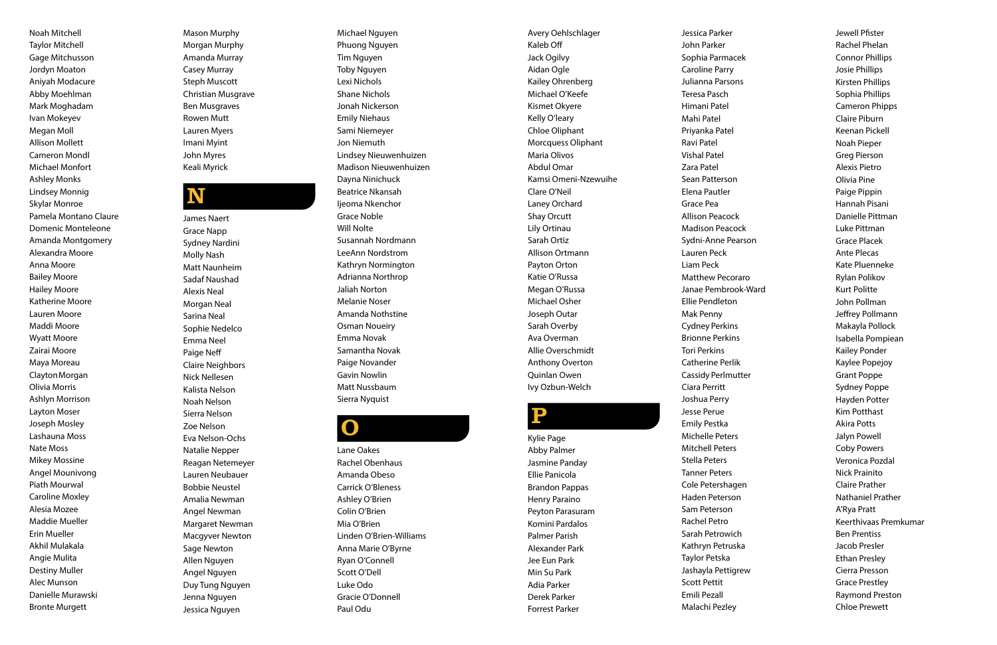Noah Mitchell Taylor Mitchell Gage Mitchusson Jordyn Moaton Aniyah Modacure Abby Moehlman Mark Moghadam Ivan Mokeyev Megan Moll Allison Mollett Cameron Mondl Michael Monfort Ashley Monks Lindsey Monnig Skylar Monroe Pamela Montano Claure Domenic Monteleone Amanda Montgomery Alexandra Moore Anna Moore Bailey Moore Hailey Moore Katherine Moore Lauren Moore Maddi Moore Wyatt Moore Zairai Moore Maya Moreau ClaytonMorgan Olivia Morris Ashlyn Morrison Layton Moser Joseph Mosley Lashauna Moss Nate Moss Mikey Mossine Angel Mounivong Piath Mourwal Caroline Moxley Alesia Mozee Maddie Mueller Erin Mueller Akhil Mulakala Angie Mulita Destiny Muller Alec Munson Danielle Murawski Bronte Murgett

Mason Murphy Morgan Murphy Amanda Murray Casey Murray Steph Muscott Christian Musgrave Ben Musgraves Rowen Mutt Lauren Myers Imani Myint John Myres Keali Myrick

### N

James Naert Grace Napp Sydney Nardini Molly Nash Matt Naunheim Sadaf Naushad Alexis Neal Morgan Neal Sarina Neal Sophie Nedelco Emma Neel Paige Neff Claire Neighbors Nick Nellesen Kalista Nelson Noah Nelson Sierra Nelson Zoe Nelson Eva Nelson-Ochs Natalie Nepper Reagan Netemeyer Lauren Neubauer Bobbie Neustel Amalia Newman Angel Newman Margaret Newman Macgyver Newton Sage Newton Allen Nguyen Angel Nguyen Duy Tung Nguyen Jenna Nguyen Jessica Nguyen

Michael Nguyen Phuong Nguyen Tim Nguyen Toby Nguyen Lexi Nichols Shane Nichols Jonah Nickerson Emily Niehaus Sami Niemeyer Jon Niemuth Lindsey Nieuwenhuizen Madison Nieuwenhuizen Dayna Ninichuck Beatrice Nkansah Ijeoma Nkenchor Grace Noble Will Nolte Susannah Nordmann LeeAnn Nordstrom Kathryn Normington Adrianna Northrop Jaliah Norton Melanie Noser Amanda Nothstine Osman Noueiry Emma Novak Samantha Novak Paige Novander Gavin Nowlin Matt Nussbaum Sierra Nyquist

O

Lane Oakes Rachel Obenhaus Amanda Obeso Carrick O'Bleness Ashley O'Brien Colin O'Brien Mia O'Brien Linden O'Brien-Williams Anna Marie O'Byrne Ryan O'Connell Scott O'Dell Luke Odo Gracie O'Donnell Paul Odu

Avery Oehlschlager Kaleb Off Jack Ogilvy Aidan Ogle Kailey Ohrenberg Michael O'Keefe Kismet Okyere Kelly O'leary Chloe Oliphant Morcquess Oliphant Maria Olivos Abdul Omar Kamsi Omeni-Nzewuihe Clare O'Neil Laney Orchard Shay Orcutt Lily Ortinau Sarah Ortiz Allison Ortmann Payton Orton Katie O'Russa Megan O'Russa Michael Osher Joseph Outar Sarah Overby Ava Overman Allie Overschmidt Anthony Overton Quinlan Owen

## **P**

Ivy Ozbun-Welch

Kylie Page Abby Palmer Jasmine Panday Ellie Panicola Brandon Pappas Henry Paraino Peyton Parasuram Komini Pardalos Palmer Parish Alexander Park Jee Eun Park Min Su Park Adia Parker Derek Parker Forrest Parker

Jessica Parker John Parker Sophia Parmacek Caroline Parry Julianna Parsons Teresa Pasch Himani Patel Mahi Patel Priyanka Patel Ravi Patel Vishal Patel Zara Patel Sean Patterson Elena Pautler Grace Pea Allison Peacock Madison Peacock Sydni-Anne Pearson Lauren Peck Liam Peck Matthew Pecoraro Janae Pembrook-Ward Ellie Pendleton Mak Penny Cydney Perkins Brionne Perkins Tori Perkins Catherine Perlik Cassidy Perlmutter Ciara Perritt Joshua Perry Jesse Perue Emily Pestka Michelle Peters Mitchell Peters Stella Peters Tanner Peters Cole Petershagen Haden Peterson Sam Peterson Rachel Petro Sarah Petrowich Kathryn Petruska Taylor Petska Jashayla Pettigrew Scott Pettit Emili Pezall Malachi Pezley Jewell Pfister Rachel Phelan Connor Phillips Josie Phillips Kirsten Phillips Sophia Phillips Cameron Phipps Claire Piburn Keenan Pickell Noah Pieper Greg Pierson Alexis Pietro Olivia Pine Paige Pippin Hannah Pisani Danielle Pittman Luke Pittman Grace Placek Ante Plecas Kate Pluenneke Rylan Polikov Kurt Politte John Pollman Jeffrey Pollmann Makayla Pollock Isabella Pompiean Kailey Ponder Kaylee Popejoy Grant Poppe Sydney Poppe Hayden Potter Kim Potthast Akira Potts Jalyn Powell Coby Powers Veronica Pozdal Nick Prainito Claire Prather Nathaniel Prather A'Rya Pratt Keerthivaas Premkumar Ben Prentiss Jacob Presler Ethan Presley Cierra Presson Grace Prestley Raymond Preston Chloe Prewett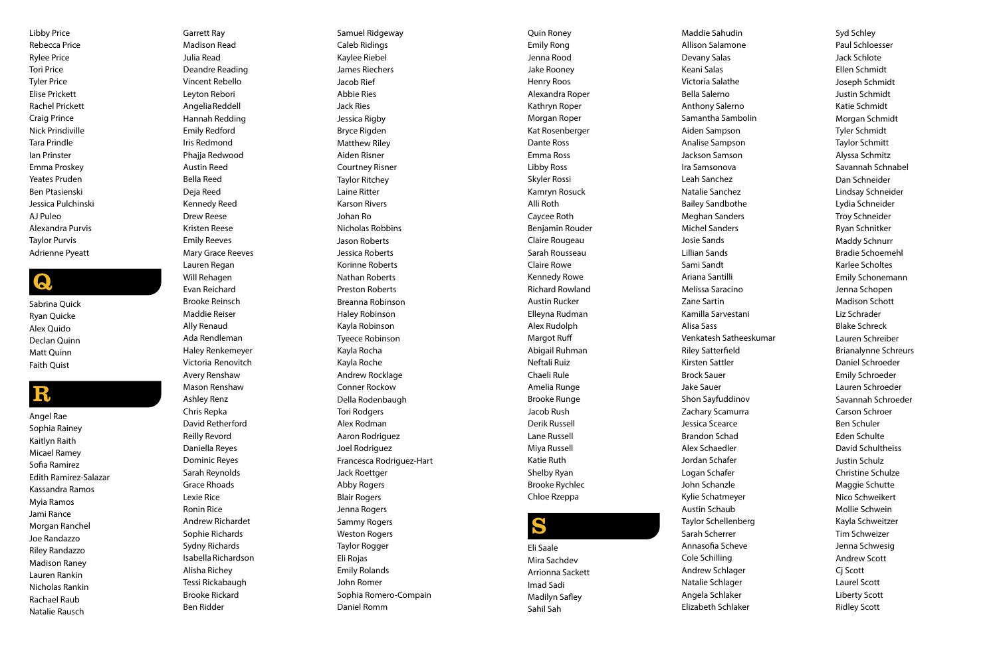Libby Price Rebecca Price Rylee Price Tori Price Tyler Price Elise Prickett Rachel Prickett Craig Prince Nick Prindiville Tara Prindle Ian Prinster Emma Proskey Yeates Pruden Ben Ptasienski Jessica Pulchinski AJ Puleo Alexandra Purvis Taylor Purvis Adrienne Pyeatt

### Q.

Sabrina Quick Ryan Quicke Alex Quido Declan Quinn Matt Quinn Faith Quist

### R

Angel Rae Sophia Rainey Kaitlyn Raith Micael Ramey Sofia Ramirez Edith Ramirez-Salazar Kassandra Ramos Myia Ramos Jami Rance Morgan Ranchel Joe Randazzo Riley Randazzo Madison Raney Lauren Rankin Nicholas Rankin Rachael Raub Natalie Rausch

Garrett Ray Madison Read Julia Read Deandre Reading Vincent Rebello Leyton Rebori AngeliaReddell Hannah Redding Emily Redford Iris Redmond Phajja Redwood Austin Reed Bella Reed Deja Reed Kennedy Reed Drew Reese Kristen Reese Emily Reeves Mary Grace Reeves Lauren Regan Will Rehagen Evan Reichard Brooke Reinsch Maddie Reiser Ally Renaud

> Ada Rendleman Haley Renkemeyer Victoria Renovitch Avery Renshaw Mason Renshaw Ashley Renz Chris Repka David Retherford Reilly Revord Daniella Reyes Dominic Reyes Sarah Reynolds Grace Rhoads Lexie Rice Ronin Rice Andrew Richardet Sophie Richards Sydny Richards Isabella Richardson Alisha Richey Tessi Rickabaugh Brooke Rickard Ben Ridder

Samuel Ridgeway Caleb Ridings Kaylee Riebel James Riechers Jacob Rief Abbie Ries Jack Ries Jessica Rigby Bryce Rigden Matthew Riley Aiden Risner Courtney Risner Taylor Ritchey Laine Ritter Karson Rivers Johan Ro Nicholas Robbins Jason Roberts Jessica Roberts Korinne Roberts Nathan Roberts Preston Roberts Breanna Robinson Haley Robinson Kayla Robinson Tyeece Robinson Kayla Rocha Kayla Roche Andrew Rocklage Conner Rockow Della Rodenbaugh Tori Rodgers Alex Rodman Aaron Rodriguez Joel Rodriguez Francesca Rodriguez-Hart Jack Roettger Abby Rogers Blair Rogers Jenna Rogers Sammy Rogers Weston Rogers Taylor Rogger Eli Rojas Emily Rolands John Romer Sophia Romero-Compain Daniel Romm

Quin Roney Emily Rong Jenna Rood Jake Rooney Henry Roos Alexandra Roper Kathryn Roper Morgan Roper Kat Rosenberger Dante Ross Emma Ross Libby Ross Skyler Rossi Kamryn Rosuck Alli Roth Caycee Roth Benjamin Rouder Claire Rougeau Sarah Rousseau Claire Rowe Kennedy Rowe Richard Rowland Austin Rucker Elleyna Rudman Alex Rudolph Margot Ruff Abigail Ruhman Neftali Ruiz Chaeli Rule Amelia Runge Brooke Runge Jacob Rush Derik Russell Lane Russell Miya Russell Katie Ruth Shelby Ryan Brooke Rychlec Chloe Rzeppa

# S

Eli Saale Mira Sachdev Arrionna Sackett Imad Sadi Madilyn Safley Sahil Sah

Maddie Sahudin Allison Salamone Devany Salas Keani Salas Victoria Salathe Bella Salerno Anthony Salerno Samantha Sambolin Aiden Sampson Analise Sampson Jackson Samson Ira Samsonova Leah Sanchez Natalie Sanchez Bailey Sandbothe Meghan Sanders Michel Sanders Josie Sands Lillian Sands Sami Sandt Ariana Santilli Melissa Saracino Zane Sartin Kamilla Sarvestani Alisa Sass Venkatesh Satheeskumar Riley Satterfield Kirsten Sattler Brock Sauer Jake Sauer Shon Sayfuddinov Zachary Scamurra Jessica Scearce Brandon Schad Alex Schaedler Jordan Schafer Logan Schafer John Schanzle Kylie Schatmeyer Austin Schaub Taylor Schellenberg Sarah Scherrer Annasofia Scheve Cole Schilling Andrew Schlager Natalie Schlager Angela Schlaker Elizabeth Schlaker

Syd Schley Paul Schloesser Jack Schlote Ellen Schmidt Joseph Schmidt Justin Schmidt Katie Schmidt Morgan Schmidt Tyler Schmidt Taylor Schmitt Alyssa Schmitz Savannah Schnabel Dan Schneider Lindsay Schneider Lydia Schneider Troy Schneider Ryan Schnitker Maddy Schnurr Bradie Schoemehl Karlee Scholtes Emily Schonemann Jenna Schopen Madison Schott Liz Schrader Blake Schreck Lauren Schreiber Brianalynne Schreurs Daniel Schroeder Emily Schroeder Lauren Schroeder Savannah Schroeder Carson Schroer Ben Schuler Eden Schulte David Schultheiss Justin Schulz Christine Schulze Maggie Schutte Nico Schweikert Mollie Schwein Kayla Schweitzer Tim Schweizer Jenna Schwesig Andrew Scott Cj Scott Laurel Scott Liberty Scott Ridley Scott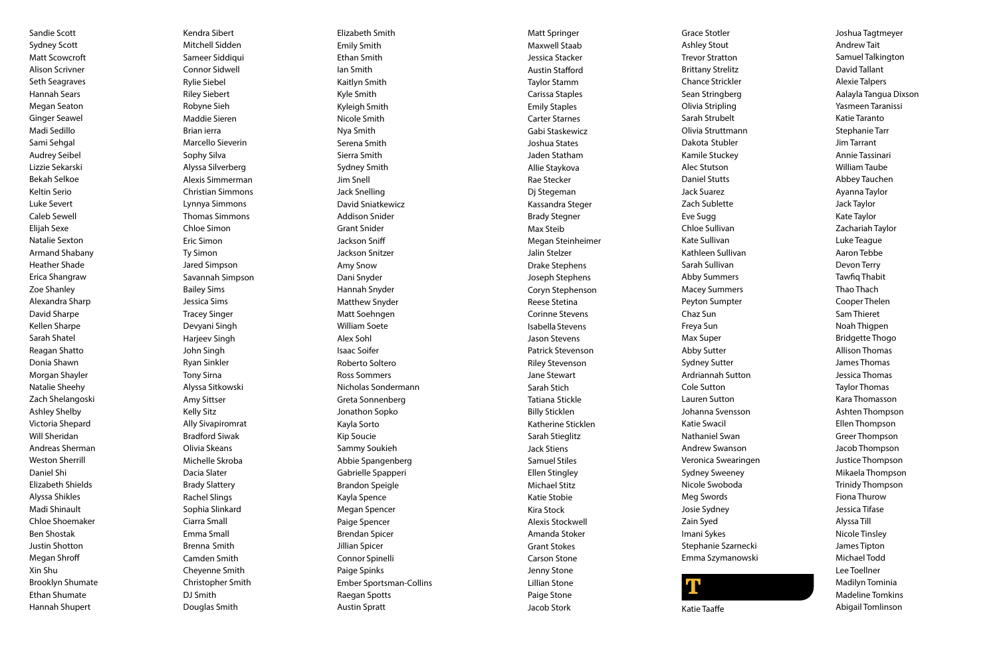Sandie Scott Sydney Scott Matt Scowcroft Alison Scrivner Seth Seagraves Hannah Sears Megan Seaton Ginger Seawel Madi Sedillo Sami Sehgal Audrey Seibel Lizzie Sekarski Bekah Selkoe Keltin Serio Luke Severt Caleb Sewell Elijah Sexe Natalie Sexton Armand Shabany Heather Shade Erica Shangraw Zoe Shanley Alexandra Sharp David Sharpe Kellen Sharpe Sarah Shatel Reagan Shatto Donia Shawn Morgan Shayler Natalie Sheehy Zach Shelangoski Ashley Shelby Victoria Shepard Will Sheridan Andreas Sherman Weston Sherrill Daniel Shi Elizabeth Shields Alyssa Shikles Madi Shinault Chloe Shoemaker Ben Shostak Justin Shotton Megan Shroff Xin Shu Brooklyn Shumate Ethan Shumate Hannah Shupert

Kendra Sibert Mitchell Sidden Sameer Siddiqui Connor Sidwell Rylie Siebel Riley Siebert Robyne Sieh Maddie Sieren Brian ierra Marcello Sieverin Sophy Silva Alyssa Silverberg Alexis Simmerman Christian Simmons Lynnya Simmons Thomas Simmons Chloe Simon Eric Simon Ty Simon Jared Simpson Savannah Simpson Bailey Sims Jessica Sims Tracey Singer Devyani Singh Harjeev Singh John Singh Ryan Sinkler Tony Sirna Alyssa Sitkowski Amy Sittser Kelly Sitz Ally Sivapiromrat Bradford Siwak Olivia Skeans Michelle Skroba Dacia Slater Brady Slattery Rachel Slings Sophia Slinkard Ciarra Small Emma Small Brenna Smith Camden Smith Cheyenne Smith Christopher Smith DJ Smith Douglas Smith

Elizabeth Smith Emily Smith Ethan Smith Ian Smith Kaitlyn Smith Kyle Smith Kyleigh Smith Nicole Smith Nya Smith Serena Smith Sierra Smith Sydney Smith Jim Snell Jack Snelling David Sniatkewicz Addison Snider Grant Snider Jackson Sniff Jackson Snitzer Amy Snow Dani Snyder Hannah Snyder Matthew Snyder Matt Soehngen William Soete Alex Sohl Isaac Soifer Roberto Soltero Ross Sommers Nicholas Sondermann Greta Sonnenberg Jonathon Sopko Kayla Sorto Kip Soucie Sammy Soukieh Abbie Spangenberg Gabrielle Spapperi Brandon Speigle Kayla Spence Megan Spencer Paige Spencer Brendan Spicer Jillian Spicer Connor Spinelli Paige Spinks Ember Sportsman-Collins Raegan Spotts Austin Spratt

Matt Springer Maxwell Staab Jessica Stacker Austin Stafford Taylor Stamm Carissa Staples Emily Staples Carter Starnes Gabi Staskewicz Joshua States Jaden Statham Allie Staykova Rae Stecker Dj Stegeman Kassandra Steger Brady Stegner Max Steib Megan Steinheimer Jalin Stelzer Drake Stephens Joseph Stephens Coryn Stephenson Reese Stetina Corinne Stevens Isabella Stevens Jason Stevens Patrick Stevenson Riley Stevenson Jane Stewart Sarah Stich Tatiana Stickle Billy Sticklen Katherine Sticklen Sarah Stieglitz Jack Stiens Samuel Stiles Ellen Stingley Michael Stitz Katie Stobie Kira Stock Alexis Stockwell Amanda Stoker Grant Stokes Carson Stone Jenny Stone Lillian Stone Paige Stone Jacob Stork

Grace Stotler Ashley Stout Trevor Stratton Brittany Strelitz Chance Strickler Sean Stringberg Olivia Stripling Sarah Strubelt Olivia Struttmann Dakota Stubler Kamile Stuckey Alec Stutson Daniel Stutts Jack Suarez Zach Sublette Eve Sugg Chloe Sullivan Kate Sullivan Kathleen Sullivan Sarah Sullivan Abby Summers Macey Summers Peyton Sumpter Chaz Sun Freya Sun Max Super Abby Sutter Sydney Sutter Ardriannah Sutton Cole Sutton Lauren Sutton Johanna Svensson Katie Swacil Nathaniel Swan Andrew Swanson Veronica Swearingen Sydney Sweeney Nicole Swoboda Meg Swords Josie Sydney Zain Syed Imani Sykes Stephanie Szarnecki Emma Szymanowski



Joshua Tagtmeyer Andrew Tait Samuel Talkington David Tallant Alexie Talpers Aalayla Tangua Dixson Yasmeen Taranissi Katie Taranto Stephanie Tarr Jim Tarrant Annie Tassinari William Taube Abbey Tauchen Ayanna Taylor Jack Taylor Kate Taylor Zachariah Taylor Luke Teague Aaron Tebbe Devon Terry Tawfiq Thabit Thao Thach Cooper Thelen Sam Thieret Noah Thigpen Bridgette Thogo Allison Thomas James Thomas Jessica Thomas Taylor Thomas Kara Thomasson Ashten Thompson Ellen Thompson Greer Thompson Jacob Thompson Justice Thompson Mikaela Thompson Trinidy Thompson Fiona Thurow Jessica Tifase Alyssa Till Nicole Tinsley James Tipton Michael Todd Lee Toellner Madilyn Tominia Madeline Tomkins Abigail Tomlinson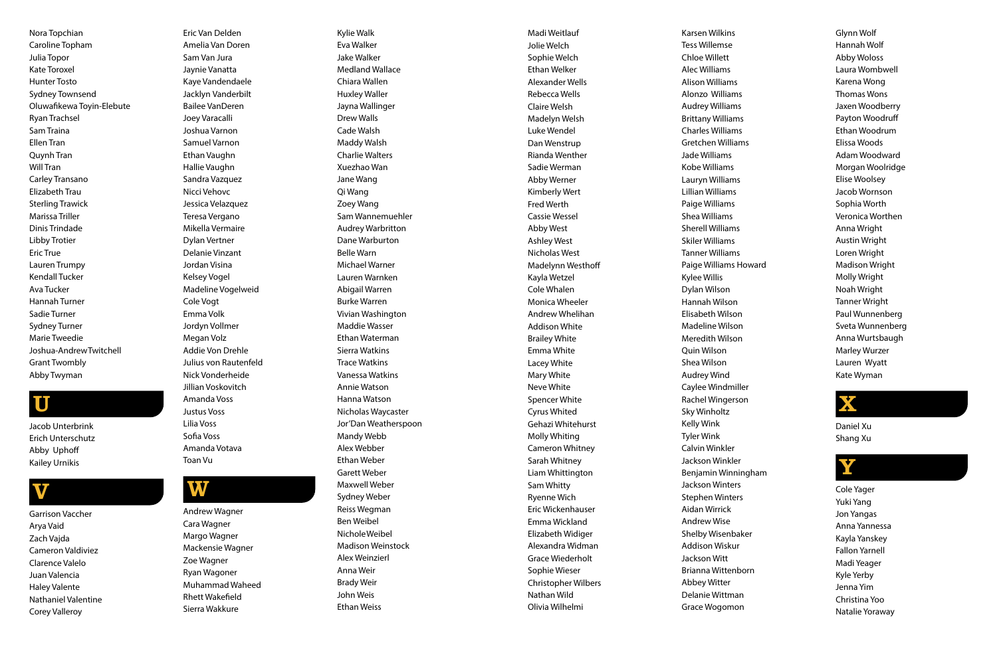Nora Topchian Caroline Topham Julia Topor Kate Toroxel Hunter Tosto Sydney Townsend Oluwafikewa Toyin-Elebute Ryan Trachsel Sam Traina Ellen Tran Quynh Tran Will Tran Carley Transano Elizabeth Trau Sterling Trawick Marissa Triller Dinis Trindade Libby Trotier Eric True Lauren Trumpy Kendall Tucker Ava Tucker Hannah Turner Sadie Turner Sydney Turner Marie Tweedie Joshua-AndrewTwitchell Grant Twombly Abby Twyman

### U

Jacob Unterbrink Erich Unterschutz Abby Uphoff Kailey Urnikis

### V

Garrison Vaccher Arya Vaid Zach Vajda Cameron Valdiviez Clarence Valelo Juan Valencia Haley Valente Nathaniel Valentine Corey Valleroy

Eric Van Delden Amelia Van Doren Sam Van Jura Jaynie Vanatta Kaye Vandendaele Jacklyn Vanderbilt Bailee VanDeren Joey Varacalli Joshua Varnon Samuel Varnon Ethan Vaughn Hallie Vaughn Sandra Vazquez Nicci Vehovc Jessica Velazquez Teresa Vergano Mikella Vermaire Dylan Vertner Delanie Vinzant Jordan Visina Kelsey Vogel Madeline Vogelweid Cole Vogt Emma Volk Jordyn Vollmer Megan Volz Addie Von Drehle Julius von Rautenfeld Nick Vonderheide Jillian Voskovitch Amanda Voss Justus Voss Lilia Voss Sofia Voss

Amanda Votava

Toan Vu

### W

Andrew Wagner Cara Wagner Margo Wagner Mackensie Wagner Zoe Wagner Ryan Wagoner Muhammad Waheed Rhett Wakefield Sierra Wakkure

Kylie Walk Eva Walker Jake Walker Medland Wallace Chiara Wallen Huxley Waller Jayna Wallinger Drew Walls Cade Walsh Maddy Walsh Charlie Walters Xuezhao Wan Jane Wang Qi Wang Zoey Wang Sam Wannemuehler Audrey Warbritton Dane Warburton Belle Warn Michael Warner Lauren Warnken Abigail Warren Burke Warren Vivian Washington Maddie Wasser Ethan Waterman Sierra Watkins Trace Watkins Vanessa Watkins Annie Watson Hanna Watson Nicholas Waycaster Jor'Dan Weatherspoon Mandy Webb Alex Webber Ethan Weber Garett Weber Maxwell Weber Sydney Weber Reiss Wegman Ben Weibel NicholeWeibel Madison Weinstock Alex Weinzierl Anna Weir Brady Weir John Weis Ethan Weiss

Karsen Wilkins Tess Willemse Chloe Willett Alec Williams Alison Williams Alonzo Williams Audrey Williams Brittany Williams Charles Williams Gretchen Williams Jade Williams Kobe Williams Lauryn Williams Lillian Williams Paige Williams Shea Williams Sherell Williams Skiler Williams Tanner Williams Paige Williams Howard Kylee Willis Dylan Wilson Hannah Wilson Elisabeth Wilson Madeline Wilson Meredith Wilson Quin Wilson Shea Wilson Audrey Wind Caylee Windmiller Rachel Wingerson Sky Winholtz Kelly Wink Tyler Wink Calvin Winkler Jackson Winkler Benjamin Winningham Jackson Winters Stephen Winters Aidan Wirrick Andrew Wise Shelby Wisenbaker Addison Wiskur Jackson Witt Brianna Wittenborn Abbey Witter Delanie Wittman Grace Wogomon

Madi Weitlauf Jolie Welch Sophie Welch Ethan Welker Alexander Wells Rebecca Wells Claire Welsh Madelyn Welsh Luke Wendel Dan Wenstrup Rianda Wenther Sadie Werman Abby Werner Kimberly Wert Fred Werth Cassie Wessel Abby West Ashley West Nicholas West Madelynn Westhoff Kayla Wetzel Cole Whalen Monica Wheeler Andrew Whelihan Addison White Brailey White Emma White Lacey White Mary White Neve White Spencer White Cyrus Whited Gehazi Whitehurst Molly Whiting Cameron Whitney Sarah Whitney Liam Whittington Sam Whitty Ryenne Wich Eric Wickenhauser Emma Wickland Elizabeth Widiger Alexandra Widman Grace Wiederholt Sophie Wieser Christopher Wilbers Nathan Wild Olivia Wilhelmi

Glynn Wolf Hannah Wolf Abby Woloss Laura Wombwell Karena Wong Thomas Wons Jaxen Woodberry Payton Woodruff Ethan Woodrum Elissa Woods Adam Woodward Morgan Woolridge Elise Woolsey Jacob Wornson Sophia Worth Veronica Worthen Anna Wright Austin Wright Loren Wright Madison Wright Molly Wright Noah Wright Tanner Wright Paul Wunnenberg Sveta Wunnenberg Anna Wurtsbaugh Marley Wurzer Lauren Wyatt Kate Wyman



Daniel Xu Shang Xu



Cole Yager Yuki Yang Jon Yangas Anna Yannessa Kayla Yanskey Fallon Yarnell Madi Yeager Kyle Yerby Jenna Yim Christina Yoo Natalie Yoraway